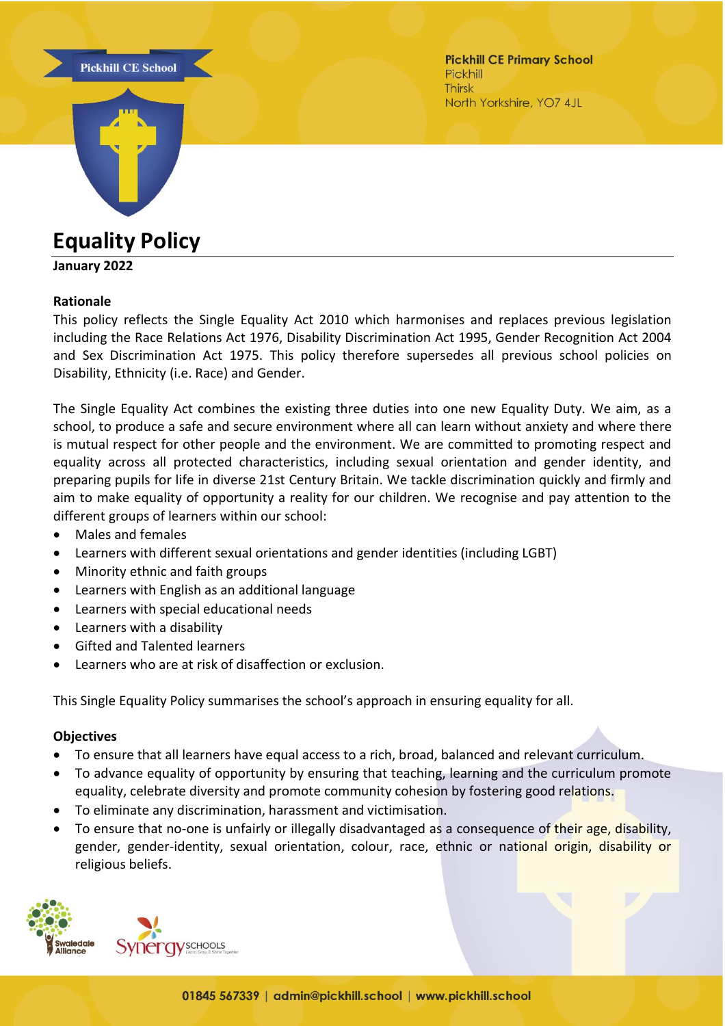



**Pickhill CE Primary School** Pickhill **Thirsk** North Yorkshire, YO7 4JL

**Equality Policy**

### **January 2022**

#### **Rationale**

This policy reflects the Single Equality Act 2010 which harmonises and replaces previous legislation including the Race Relations Act 1976, Disability Discrimination Act 1995, Gender Recognition Act 2004 and Sex Discrimination Act 1975. This policy therefore supersedes all previous school policies on Disability, Ethnicity (i.e. Race) and Gender.

The Single Equality Act combines the existing three duties into one new Equality Duty. We aim, as a school, to produce a safe and secure environment where all can learn without anxiety and where there is mutual respect for other people and the environment. We are committed to promoting respect and equality across all protected characteristics, including sexual orientation and gender identity, and preparing pupils for life in diverse 21st Century Britain. We tackle discrimination quickly and firmly and aim to make equality of opportunity a reality for our children. We recognise and pay attention to the different groups of learners within our school:

- Males and females
- Learners with different sexual orientations and gender identities (including LGBT)
- Minority ethnic and faith groups
- Learners with English as an additional language
- Learners with special educational needs
- Learners with a disability
- Gifted and Talented learners
- Learners who are at risk of disaffection or exclusion.

This Single Equality Policy summarises the school's approach in ensuring equality for all.

### **Objectives**

- To ensure that all learners have equal access to a rich, broad, balanced and relevant curriculum.
- To advance equality of opportunity by ensuring that teaching, learning and the curriculum promote equality, celebrate diversity and promote community cohesion by fostering good relations.
- To eliminate any discrimination, harassment and victimisation.
- To ensure that no-one is unfairly or illegally disadvantaged as a consequence of their age, disability, gender, gender-identity, sexual orientation, colour, race, ethnic or national origin, disability or religious beliefs.

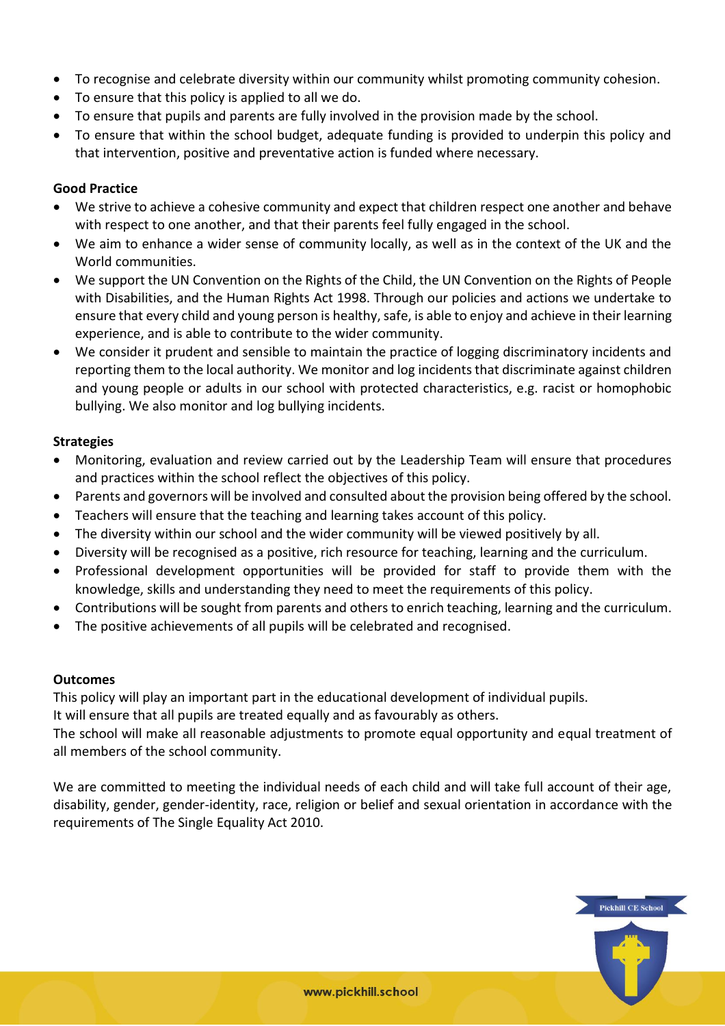- To recognise and celebrate diversity within our community whilst promoting community cohesion.
- To ensure that this policy is applied to all we do.
- To ensure that pupils and parents are fully involved in the provision made by the school.
- To ensure that within the school budget, adequate funding is provided to underpin this policy and that intervention, positive and preventative action is funded where necessary.

## **Good Practice**

- We strive to achieve a cohesive community and expect that children respect one another and behave with respect to one another, and that their parents feel fully engaged in the school.
- We aim to enhance a wider sense of community locally, as well as in the context of the UK and the World communities.
- We support the UN Convention on the Rights of the Child, the UN Convention on the Rights of People with Disabilities, and the Human Rights Act 1998. Through our policies and actions we undertake to ensure that every child and young person is healthy, safe, is able to enjoy and achieve in their learning experience, and is able to contribute to the wider community.
- We consider it prudent and sensible to maintain the practice of logging discriminatory incidents and reporting them to the local authority. We monitor and log incidents that discriminate against children and young people or adults in our school with protected characteristics, e.g. racist or homophobic bullying. We also monitor and log bullying incidents.

# **Strategies**

- Monitoring, evaluation and review carried out by the Leadership Team will ensure that procedures and practices within the school reflect the objectives of this policy.
- Parents and governors will be involved and consulted about the provision being offered by the school.
- Teachers will ensure that the teaching and learning takes account of this policy.
- The diversity within our school and the wider community will be viewed positively by all.
- Diversity will be recognised as a positive, rich resource for teaching, learning and the curriculum.
- Professional development opportunities will be provided for staff to provide them with the knowledge, skills and understanding they need to meet the requirements of this policy.
- Contributions will be sought from parents and others to enrich teaching, learning and the curriculum.
- The positive achievements of all pupils will be celebrated and recognised.

### **Outcomes**

This policy will play an important part in the educational development of individual pupils.

It will ensure that all pupils are treated equally and as favourably as others.

The school will make all reasonable adjustments to promote equal opportunity and equal treatment of all members of the school community.

We are committed to meeting the individual needs of each child and will take full account of their age, disability, gender, gender-identity, race, religion or belief and sexual orientation in accordance with the requirements of The Single Equality Act 2010.

**Pickhill CE School**